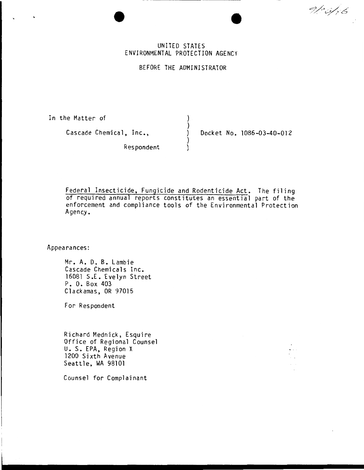$91:5/16$ 

## UNITED STATES ENVIRONMENTAL PROTECTION AGENCY

BEFORE THE ADMINISTRATOR

) )

} )

In the Matter of

Cascade Chemical, Inc.,

) Docket No. 1086-03-40-012

Respondent

Federal Insecticide, Fungicide and Rodenticide Act. The filing of required annual reports constitutes an essential part of the enforcement and compliance tools of the Environmental Protection Agency.

Appearances:

Mr. A. D. B. Lambie Cascade Chemicals Inc. 16081 S.E. Evelyn Street P. 0. Box 403 Clackamas, OR 97015

For Respondent

Richard Mednick, Esquire Office of Regional Counsel U. S. EPA, Region X 1200 Sixth Avenue Seattle, WA 98101

Counsel for Complainant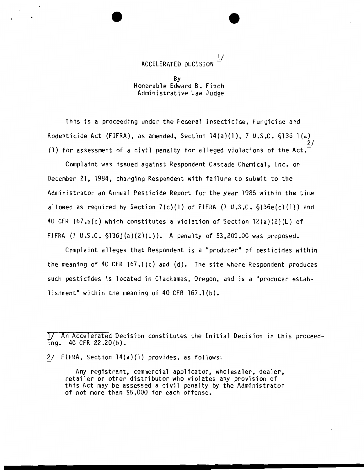$\frac{1}{\sqrt{2}}$ ACCELERATED DECISION

By Honorable Edward B. Finch Administrative Law Judge

This is a proceeding under the Federal Insecticide, Fungicide and Rodenticide Act (FIFRA), as amended, Section  $14(a)(1)$ , 7 U.S.C.  $$136 1(a)$ 2/ (1) for assessment of a civil penalty for alleged violations of the Act.-

Complaint was issued against Respondent Cascade Chemical, Inc. on December 21, 1984, charging Respondent with failure to submit to the Administrator an Annual Pesticide Report for the year 1985 within the time allowed as required by Section  $7(c)(1)$  of FIFRA (7 U.S.C.  $\S$ 136e(c)(1)) and 40 CFR 167.5(c) which constitutes a violation of Section 12(a)(2)(L) of FIFRA  $(7 \cup .S.C. \S136j(a)(2)(L))$ . A penalty of \$3,200.00 was proposed.

Complaint alleges that Respondent is a "producer" of pesticides within the meaning of 40 CFR  $167.1(c)$  and  $(d)$ . The site where Respondent produces such pesticides is located in Clackamas, Oregon, and is a "producer establishment" within the meaning of 40 CFR 167.1(b).

l/ An Accelerated Decision constitutes the Initial Decision in this proceed- $\text{ing.}$  40 CFR 22.20(b).

 $2/$  FIFRA, Section  $14(a)(1)$  provides, as follows:

Any registrant, commercial applicator, wholesaler, dealer, retailer or other distributor who violates any provision of this Act may be assessed a civil penalty by the Administrator of not more than \$5,000 for each offense.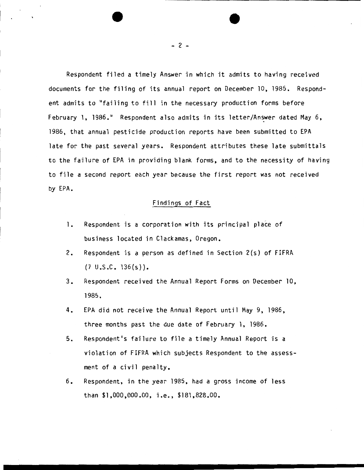Respondent filed a timely Answer in which it admits to having received documents for the filing of its annual report on December 10, 1985. Respondent admits to "failing to fill in the necessary production forms before February 1, 1986." Respondent also admits in its letter/Answer dated May 6, 1986, that annual pesticide production reports have been submitted to EPA late for the past several years. Respondent attributes these late submittals to the failure of EPA in providing blank forms, and to the necessity of having to file a second report each year because the first report was not received by EPA.

## Findings of Fact

- 1. Respondent is a corporation with its principal place of business located in Clackamas, Oregon.
- 2. Respondent is a person as defined in Section 2(s) of FIFRA  $(7 \cup .S.C. 136(s))$ .
- 3. Respondent received the Annual Report Forms on December 10, 1985.
- 4. EPA did not receive the Annual Report until May 9, 1986, three months past the due date of February l, 1986.
- 5. Respondent's failure to file a timely Annual Report is a violation of FIFRA which subjects Respondent to the assessment of a civil penalty.
- 6. Respondent, in the year 1985, had a gross income of less than \$1,000,000.00, i.e., \$181,828.00.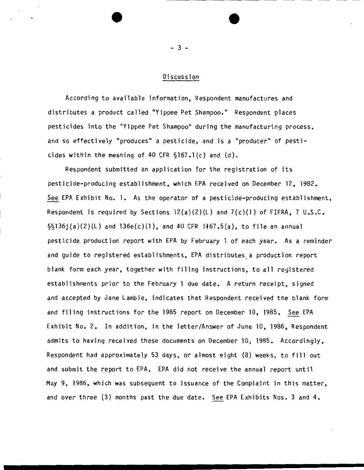### Discussion

According to available information, Respondent manufactures and distributes a product called "Yippee Pet Shampoo." Respondent places pesticides into the "Yippee Pet Shampoo" during the manufacturing process, and so effectively "produces" a pesticide, and is a "producer" of pesticides within the meaning of 40 CFR  $\S$ 167.1(c) and (d).

Respondent submitted an application for the registration of its pesticide-producing establishment, which EPA received on December 12, 1982. See EPA Exhibit No. 1. As the operator of a pesticide-producing establishment, Respondent is required by Sections  $12(a)(2)(L)$  and  $7(c)(1)$  of FIFRA, 7 U.S.C.  $\S5136j(a)(2)(L)$  and  $136e(c)(1)$ , and 40 CFR  $1467.5(a)$ , to file an annual pesticide production report with EPA by February 1 of each year. As a reminder and guide to registered establishments, EPA distributes, a production report blank form each year, together with filing instructions, to all registered establishments prior to the February 1 due date. A return receipt, signed and accepted by Jane Lambie, indicates that Respondent received the blank form and filing instructions for the 1985 report on December 10, 1985. See EPA Exhibit No. 2. In addition, in the letter/Answer of June 10, 1986, Respondent admits to having received these documents on December 10, 1985. Accordingly, Respondent had approximately 53 days, or almost eight (8) weeks, to fill out and submit the report to EPA. EPA did not receive the annual report until May 9, 1986, which was subsequent to issuance of the Complaint in this matter, and over three (3) months past the due date. See EPA Exhibits Nos. 3 and 4.

- 3 -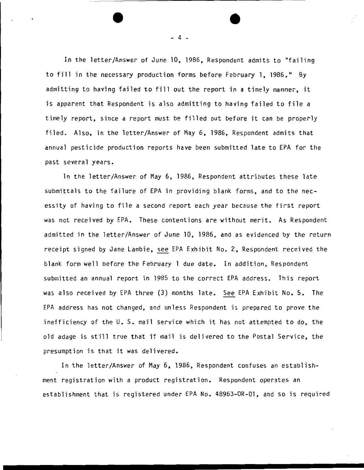In the letter/Answer of June 10, 1986, Respondent admits to "failing to fill in the necessary production forms before February 1, 1986." By admitting to having failed to fill out the report in a timely manner, it is apparent that Respondent is also admitting to having failed to file a timely report, since a report must be filled out before it can be properly filed. Also, in the letter/Answer of May 6, 1986, Respondent admits that annual pesticide production reports have been submitted late to EPA for the past several years.

In the letter/Answer of May 6, 1986, Respondent attributes these late submittals to the failure of EPA in providing blank forms, and to the necessity of having to file a second report each year because the first report was not received by EPA. These contentions are without merit. As Respondent admitted in the letter/Answer of June 10, 1986, and as evidenced by the return receipt signed by Jane Lambie, see EPA Exhibit No. 2, Respondent received the blank form well before the February 1 due date. In addition, Respondent submitted an annual report in 1985 to the correct EPA address. This report was also received by EPA three {3) months late. See EPA Exhibit No. 5. The EPA address has not changed, and unless Respondent is prepared to prove the inefficiency of the U. S. mail service which it has not attempted to do, the old adage is still true that if mail is delivered to the Postal Service, the presumption is that it was delivered.

In the letter/Answer of May 6, 1986, Respondent confuses an establishment registration with a product registration. Respondent operates an establishment that is registered under EPA No. 48963-0R-01, and so is required

- 4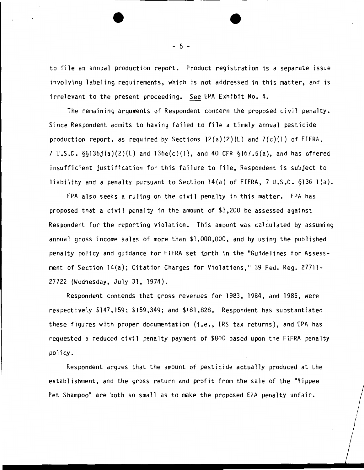to file an annual production report. Product registration is a separate issue involving labeling requirements, which is not addressed in this matter, and is irrelevant to the present proceeding. See EPA Exhibit No. 4.

The remaining arguments of Respondent concern the proposed civil penalty. Since Respondent admits to having failed to file a timely annual pesticide production report, as required by Sections  $12(a)(2)(L)$  and  $7(c)(1)$  of FIFRA, 7 U.S.C. §§136j{a)(2)(L) and 136e(c)(l), and 40 CFR §167.5(a), and has offered insufficient justification for this failure to file, Respondent is subject to liability and a penalty pursuant to Section 14(a) of FIFRA, 7 U.S.C. §136 1 (a).

EPA also seeks a ruling on the civil penalty in this matter. EPA has proposed that a civil penalty in the amount of \$3,200 be assessed against Respondent for the reporting violation. This amount was calculated by assuming annual gross income sales of more than \$1,000,000, and by using the published penalty policy and guidance for FIFRA set forth in the "Guidelines for Assessment of Section 14(a); Citation Charges for Violations," 39 Fed. Reg. 27711- 27722 (Wednesday, July 31, 1974).

Respondent contends that gross revenues for 1983, 1984, and 1985, were respectively \$147,159; \$159,349; and \$181,828. Respondent has substantiated these figures with proper documentation (i.e., IRS tax returns), and EPA has requested a reduced civil penalty payment of \$800 based upon the FIFRA penalty policy.

Respondent argues that the amount of pesticide actually produced at the establishment, and the gross return and profit from the sale of the "Yippee Pet Shampoo" are both so small as to make the proposed EPA penalty unfair.

- 5 -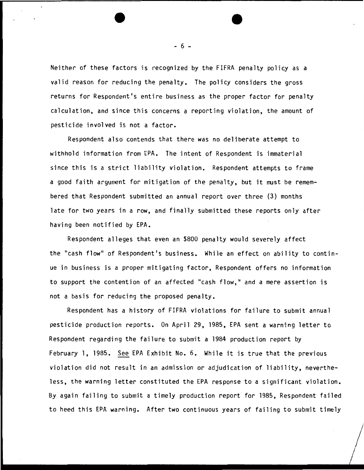Neither of these factors is recognized by the FIFRA penalty policy as a valid reason for reducing the penalty. The policy considers the gross returns for Respondent's entire business as the proper factor for penalty calculation, and since this concerns a reporting violation, the amount of pesticide involved is not a factor.

Respondent also contends that there was no deliberate attempt to withhold information from EPA. The intent of Respondent is immaterial since this is a strict liability violation. Respondent attempts to frame a good faith argument for mitigation of the penalty, but it must be remembered that Respondent submitted an annual report over three (3) months late for two years in a row, and finally submitted these reports only after having been notified by EPA.

Respondent alleges that even an \$800 penalty would severely affect the "cash flow" of Respondent's business. While an effect on ability to continue in business is a proper mitigating factor, Respondent offers no information to support the contention of an affected "cash flow," and a mere assertion is not a basis for reducing the proposed penalty.

Respondent has a history of FIFRA violations for failure to submit annual pesticide production reports. On April 29, 1985, EPA sent a warning letter to Respondent regarding the failure to submit a 1984 production report by February 1, 1985. See EPA Exhibit No.6. While it is true that the previous violation did not result in an admission or adjudication of liability, nevertheless, the warning letter constituted the EPA response to a significant violation. By again failing to submit a timely production report for 1985, Respondent failed to heed this EPA warning. After two continuous years of failing to submit timely

 $\bigg/$ 

- 6 -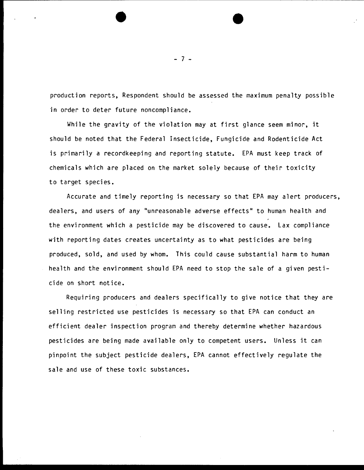production reports, Respondent should be assessed the maximum penalty possible in order to deter future noncompliance.

While the gravity of the violation may at first glance seem minor, it should be noted that the Federal Insecticide, Fungicide and Rodenticide Act is primarily a recordkeeping and reporting statute. EPA must keep track of chemicals which are placed on the market solely because of their toxicity to target species.

Accurate and timely reporting is necessary so that EPA may alert producers, dealers, and users of any "unreasonable adverse effects" to human health and the environment which a pesticide may be discovered to cause. Lax compliance with reporting dates creates uncertainty as to what pesticides are being produced, sold, and used by whom. This could cause substantial harm to human health and the environment should EPA need to stop the sale of a given pesticide on short notice.

Requiring producers and dealers specifically to give notice that they are selling restricted use pesticides is necessary so that EPA can conduct an efficient dealer inspection program and thereby determine whether hazardous pesticides are being made available only to competent users. Unless it can pinpoint the subject pesticide dealers, EPA cannot effectively regulate the sale and use of these toxic substances.

- 7 -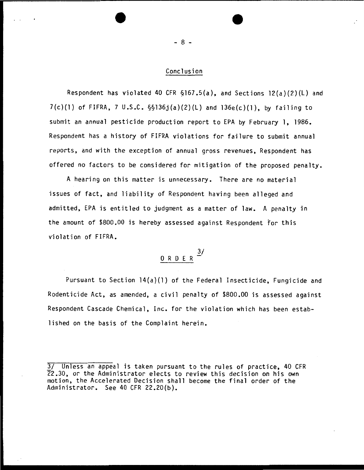#### Conclusion

Respondent has violated 40 CFR §167.5(a), and Sections 12(a)(2)(L) and  $7(c)(1)$  of FIFRA, 7 U.S.C.  $\S_5136j(a)(2)(L)$  and  $136e(c)(1)$ , by failing to submit an annual pesticide production report to EPA by February 1, 1986. Respondent has a history of FIFRA violations for failure to submit annual reports, and with the exception of annual gross revenues, Respondent has offered no factors to be considered for mitigation of the proposed penalty.

A hearing on this matter is unnecessary. There are no material issues of fact, and liability of Respondent having been alleged and admitted, EPA is entitled to judgment as a matter of law. A penalty in the amount of \$800.00 is hereby assessed against Respondent for this violation of FIFRA.

# $\frac{3}{2}$ 0 R *D* E R

Pursuant to Section 14(a)(l) of the Federal Insecticide, Fungicide and Rodenticide Act, as amended, a civil penalty of \$800.00 is assessed against Respondent Cascade Chemical, Inc. for the violation which has been established on the basis of the Complaint herein.

- 8 -

<sup>3/</sup> Unless an appeal is taken pursuant to the rules of practice, 40 CFR 22.30, or the Administrator elects to review this decision on his own motion, the Accelerated Decision shall become the final order of the Administrator. See 40 CFR 22.20{b).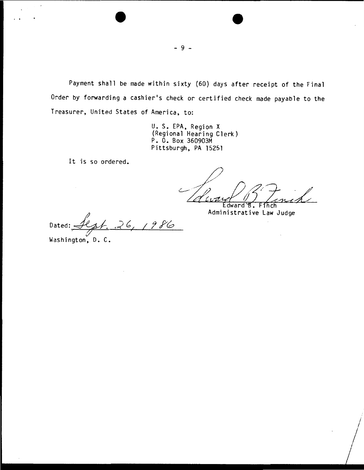Payment shall be made within sixty (60) days after receipt of the Final Order by forwarding a cashier's check or certified check made payable to the Treasurer, United States of America, to:

> U. S. EPA, Region X (Regional Hearing Clerk) P. 0. Box 360903M Pittsburgh, PA 15251

It is so ordered.

dward

Administrative Law Judge

 $\mathbf{r}$ 

Dated: Sept. 26, 1986

Washington, D. C.

 $\mathcal{A}$